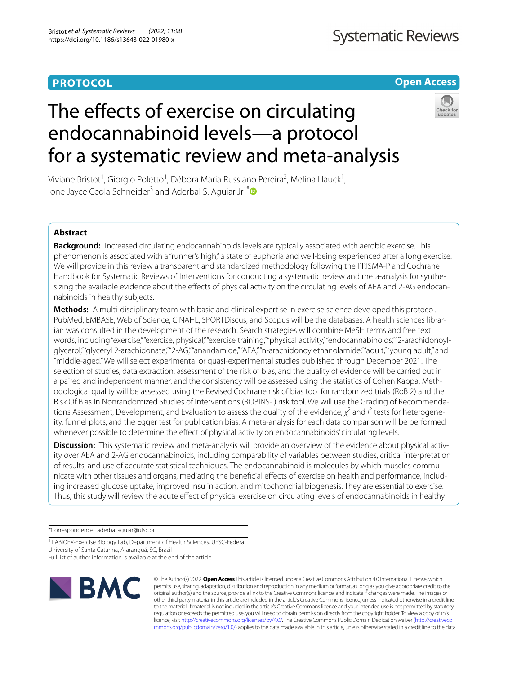# **PROTOCOL**

# **Open Access**

# The effects of exercise on circulating endocannabinoid levels—a protocol for a systematic review and meta-analysis



Viviane Bristot<sup>1</sup>, Giorgio Poletto<sup>1</sup>, Débora Maria Russiano Pereira<sup>2</sup>, Melina Hauck<sup>1</sup>, Ione Jayce Ceola Schneider<sup>3</sup> and Aderbal S. Aguiar Jr<sup>1\*</sup>

# **Abstract**

**Background:** Increased circulating endocannabinoids levels are typically associated with aerobic exercise. This phenomenon is associated with a "runner's high," a state of euphoria and well-being experienced after a long exercise. We will provide in this review a transparent and standardized methodology following the PRISMA-P and Cochrane Handbook for Systematic Reviews of Interventions for conducting a systematic review and meta-analysis for synthesizing the available evidence about the efects of physical activity on the circulating levels of AEA and 2-AG endocannabinoids in healthy subjects.

**Methods:** A multi-disciplinary team with basic and clinical expertise in exercise science developed this protocol. PubMed, EMBASE, Web of Science, CINAHL, SPORTDiscus, and Scopus will be the databases. A health sciences librarian was consulted in the development of the research. Search strategies will combine MeSH terms and free text words, including "exercise," "exercise, physical," "exercise training," "physical activity," "endocannabinoids," "2-arachidonoylglycerol," "glyceryl 2-arachidonate," "2-AG," "anandamide," "AEA," "n-arachidonoylethanolamide," "adult," "young adult," and "middle-aged." We will select experimental or quasi-experimental studies published through December 2021. The selection of studies, data extraction, assessment of the risk of bias, and the quality of evidence will be carried out in a paired and independent manner, and the consistency will be assessed using the statistics of Cohen Kappa. Methodological quality will be assessed using the Revised Cochrane risk of bias tool for randomized trials (RoB 2) and the Risk Of Bias In Nonrandomized Studies of Interventions (ROBINS-I) risk tool. We will use the Grading of Recommendations Assessment, Development, and Evaluation to assess the quality of the evidence, χ<sup>2</sup> and I<sup>2</sup> tests for heterogeneity, funnel plots, and the Egger test for publication bias. A meta-analysis for each data comparison will be performed whenever possible to determine the effect of physical activity on endocannabinoids' circulating levels.

**Discussion:** This systematic review and meta-analysis will provide an overview of the evidence about physical activity over AEA and 2-AG endocannabinoids, including comparability of variables between studies, critical interpretation of results, and use of accurate statistical techniques. The endocannabinoid is molecules by which muscles communicate with other tissues and organs, mediating the benefcial efects of exercise on health and performance, including increased glucose uptake, improved insulin action, and mitochondrial biogenesis. They are essential to exercise. Thus, this study will review the acute efect of physical exercise on circulating levels of endocannabinoids in healthy

\*Correspondence: aderbal.aguiar@ufsc.br

<sup>1</sup> LABIOEX-Exercise Biology Lab, Department of Health Sciences, UFSC-Federal University of Santa Catarina, Araranguá, SC, Brazil

Full list of author information is available at the end of the article



© The Author(s) 2022. **Open Access** This article is licensed under a Creative Commons Attribution 4.0 International License, which permits use, sharing, adaptation, distribution and reproduction in any medium or format, as long as you give appropriate credit to the original author(s) and the source, provide a link to the Creative Commons licence, and indicate if changes were made. The images or other third party material in this article are included in the article's Creative Commons licence, unless indicated otherwise in a credit line to the material. If material is not included in the article's Creative Commons licence and your intended use is not permitted by statutory regulation or exceeds the permitted use, you will need to obtain permission directly from the copyright holder. To view a copy of this licence, visit [http://creativecommons.org/licenses/by/4.0/.](http://creativecommons.org/licenses/by/4.0/) The Creative Commons Public Domain Dedication waiver ([http://creativeco](http://creativecommons.org/publicdomain/zero/1.0/) [mmons.org/publicdomain/zero/1.0/](http://creativecommons.org/publicdomain/zero/1.0/)) applies to the data made available in this article, unless otherwise stated in a credit line to the data.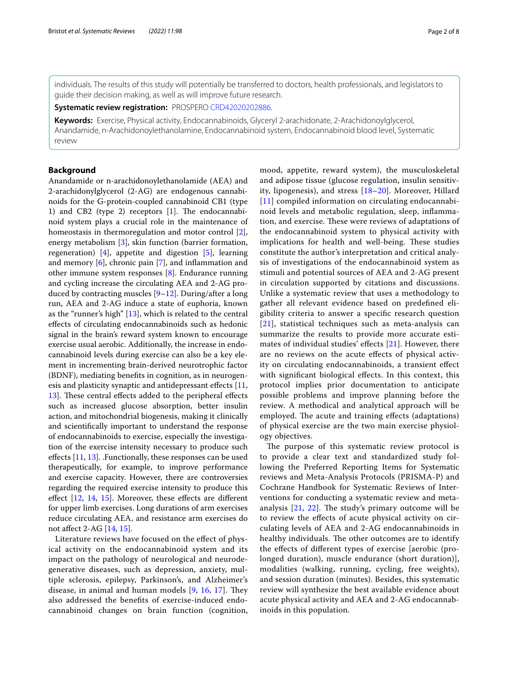individuals. The results of this study will potentially be transferred to doctors, health professionals, and legislators to guide their decision making, as well as will improve future research.

**Systematic review registration:** PROSPERO [CRD42020202886.](https://www.crd.york.ac.uk/prospero/display_record.php?RecordID=202886)

**Keywords:** Exercise, Physical activity, Endocannabinoids, Glyceryl 2-arachidonate, 2-Arachidonoylglycerol, Anandamide, n-Arachidonoylethanolamine, Endocannabinoid system, Endocannabinoid blood level, Systematic review

# **Background**

Anandamide or n-arachidonoylethanolamide (AEA) and 2-arachidonylglycerol (2-AG) are endogenous cannabinoids for the G-protein-coupled cannabinoid CB1 (type 1) and CB2 (type 2) receptors  $[1]$  $[1]$ . The endocannabinoid system plays a crucial role in the maintenance of homeostasis in thermoregulation and motor control [\[2](#page-6-1)], energy metabolism [[3](#page-6-2)], skin function (barrier formation, regeneration) [\[4](#page-6-3)], appetite and digestion [\[5](#page-6-4)], learning and memory [\[6](#page-6-5)], chronic pain [\[7](#page-6-6)], and infammation and other immune system responses [[8\]](#page-6-7). Endurance running and cycling increase the circulating AEA and 2-AG produced by contracting muscles [\[9](#page-6-8)[–12\]](#page-6-9). During/after a long run, AEA and 2-AG induce a state of euphoria, known as the "runner's high" [[13](#page-6-10)], which is related to the central efects of circulating endocannabinoids such as hedonic signal in the brain's reward system known to encourage exercise usual aerobic. Additionally, the increase in endocannabinoid levels during exercise can also be a key element in incrementing brain-derived neurotrophic factor (BDNF), mediating benefts in cognition, as in neurogen-esis and plasticity synaptic and antidepressant effects [\[11](#page-6-11), [13\]](#page-6-10). These central effects added to the peripheral effects such as increased glucose absorption, better insulin action, and mitochondrial biogenesis, making it clinically and scientifcally important to understand the response of endocannabinoids to exercise, especially the investigation of the exercise intensity necessary to produce such efects [\[11](#page-6-11), [13\]](#page-6-10). .Functionally, these responses can be used therapeutically, for example, to improve performance and exercise capacity. However, there are controversies regarding the required exercise intensity to produce this effect  $[12, 14, 15]$  $[12, 14, 15]$  $[12, 14, 15]$  $[12, 14, 15]$  $[12, 14, 15]$  $[12, 14, 15]$ . Moreover, these effects are different for upper limb exercises. Long durations of arm exercises reduce circulating AEA, and resistance arm exercises do not afect 2-AG [[14,](#page-6-12) [15\]](#page-6-13).

Literature reviews have focused on the efect of physical activity on the endocannabinoid system and its impact on the pathology of neurological and neurodegenerative diseases, such as depression, anxiety, multiple sclerosis, epilepsy, Parkinson's, and Alzheimer's disease, in animal and human models  $[9, 16, 17]$  $[9, 16, 17]$  $[9, 16, 17]$  $[9, 16, 17]$  $[9, 16, 17]$  $[9, 16, 17]$  $[9, 16, 17]$ . They also addressed the benefts of exercise-induced endocannabinoid changes on brain function (cognition, mood, appetite, reward system), the musculoskeletal and adipose tissue (glucose regulation, insulin sensitivity, lipogenesis), and stress [[18–](#page-6-16)[20\]](#page-6-17). Moreover, Hillard [[11](#page-6-11)] compiled information on circulating endocannabinoid levels and metabolic regulation, sleep, infammation, and exercise. These were reviews of adaptations of the endocannabinoid system to physical activity with implications for health and well-being. These studies constitute the author's interpretation and critical analysis of investigations of the endocannabinoid system as stimuli and potential sources of AEA and 2-AG present in circulation supported by citations and discussions. Unlike a systematic review that uses a methodology to gather all relevant evidence based on predefned eligibility criteria to answer a specifc research question [[21](#page-6-18)], statistical techniques such as meta-analysis can summarize the results to provide more accurate esti-mates of individual studies' effects [[21](#page-6-18)]. However, there are no reviews on the acute efects of physical activity on circulating endocannabinoids, a transient efect with signifcant biological efects. In this context, this protocol implies prior documentation to anticipate possible problems and improve planning before the review. A methodical and analytical approach will be employed. The acute and training effects (adaptations) of physical exercise are the two main exercise physiology objectives.

The purpose of this systematic review protocol is to provide a clear text and standardized study following the Preferred Reporting Items for Systematic reviews and Meta-Analysis Protocols (PRISMA-P) and Cochrane Handbook for Systematic Reviews of Interventions for conducting a systematic review and metaanalysis  $[21, 22]$  $[21, 22]$  $[21, 22]$  $[21, 22]$ . The study's primary outcome will be to review the efects of acute physical activity on circulating levels of AEA and 2-AG endocannabinoids in healthy individuals. The other outcomes are to identify the efects of diferent types of exercise [aerobic (prolonged duration), muscle endurance (short duration)], modalities (walking, running, cycling, free weights), and session duration (minutes). Besides, this systematic review will synthesize the best available evidence about acute physical activity and AEA and 2-AG endocannabinoids in this population.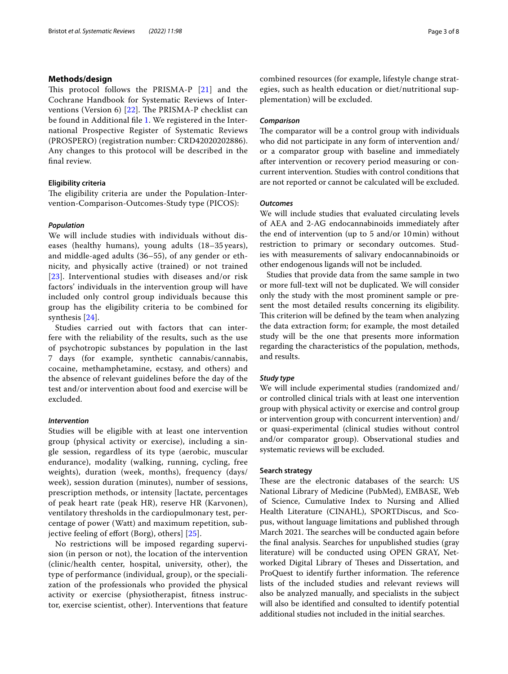#### **Methods/design**

This protocol follows the PRISMA-P [\[21\]](#page-6-18) and the Cochrane Handbook for Systematic Reviews of Inter-ventions (Version 6) [[22\]](#page-6-19). The PRISMA-P checklist can be found in Additional fle [1](#page-6-20). We registered in the International Prospective Register of Systematic Reviews (PROSPERO) (registration number: CRD42020202886). Any changes to this protocol will be described in the fnal review.

#### **Eligibility criteria**

The eligibility criteria are under the Population-Intervention-Comparison-Outcomes-Study type (PICOS):

# *Population*

We will include studies with individuals without diseases (healthy humans), young adults (18–35 years), and middle-aged adults (36–55), of any gender or ethnicity, and physically active (trained) or not trained [[23](#page-7-0)]. Interventional studies with diseases and/or risk factors' individuals in the intervention group will have included only control group individuals because this group has the eligibility criteria to be combined for synthesis [[24](#page-7-1)].

Studies carried out with factors that can interfere with the reliability of the results, such as the use of psychotropic substances by population in the last 7 days (for example, synthetic cannabis/cannabis, cocaine, methamphetamine, ecstasy, and others) and the absence of relevant guidelines before the day of the test and/or intervention about food and exercise will be excluded.

## *Intervention*

Studies will be eligible with at least one intervention group (physical activity or exercise), including a single session, regardless of its type (aerobic, muscular endurance), modality (walking, running, cycling, free weights), duration (week, months), frequency (days/ week), session duration (minutes), number of sessions, prescription methods, or intensity [lactate, percentages of peak heart rate (peak HR), reserve HR (Karvonen), ventilatory thresholds in the cardiopulmonary test, percentage of power (Watt) and maximum repetition, sub-jective feeling of effort (Borg), others] [[25\]](#page-7-2).

No restrictions will be imposed regarding supervision (in person or not), the location of the intervention (clinic/health center, hospital, university, other), the type of performance (individual, group), or the specialization of the professionals who provided the physical activity or exercise (physiotherapist, ftness instructor, exercise scientist, other). Interventions that feature combined resources (for example, lifestyle change strategies, such as health education or diet/nutritional supplementation) will be excluded.

#### *Comparison*

The comparator will be a control group with individuals who did not participate in any form of intervention and/ or a comparator group with baseline and immediately after intervention or recovery period measuring or concurrent intervention. Studies with control conditions that are not reported or cannot be calculated will be excluded.

#### *Outcomes*

We will include studies that evaluated circulating levels of AEA and 2-AG endocannabinoids immediately after the end of intervention (up to 5 and/or 10min) without restriction to primary or secondary outcomes. Studies with measurements of salivary endocannabinoids or other endogenous ligands will not be included.

Studies that provide data from the same sample in two or more full-text will not be duplicated. We will consider only the study with the most prominent sample or present the most detailed results concerning its eligibility. This criterion will be defined by the team when analyzing the data extraction form; for example, the most detailed study will be the one that presents more information regarding the characteristics of the population, methods, and results.

## *Study type*

We will include experimental studies (randomized and/ or controlled clinical trials with at least one intervention group with physical activity or exercise and control group or intervention group with concurrent intervention) and/ or quasi-experimental (clinical studies without control and/or comparator group). Observational studies and systematic reviews will be excluded.

#### **Search strategy**

These are the electronic databases of the search: US National Library of Medicine (PubMed), EMBASE, Web of Science, Cumulative Index to Nursing and Allied Health Literature (CINAHL), SPORTDiscus, and Scopus, without language limitations and published through March 2021. The searches will be conducted again before the fnal analysis. Searches for unpublished studies (gray literature) will be conducted using OPEN GRAY, Networked Digital Library of Theses and Dissertation, and ProQuest to identify further information. The reference lists of the included studies and relevant reviews will also be analyzed manually, and specialists in the subject will also be identifed and consulted to identify potential additional studies not included in the initial searches.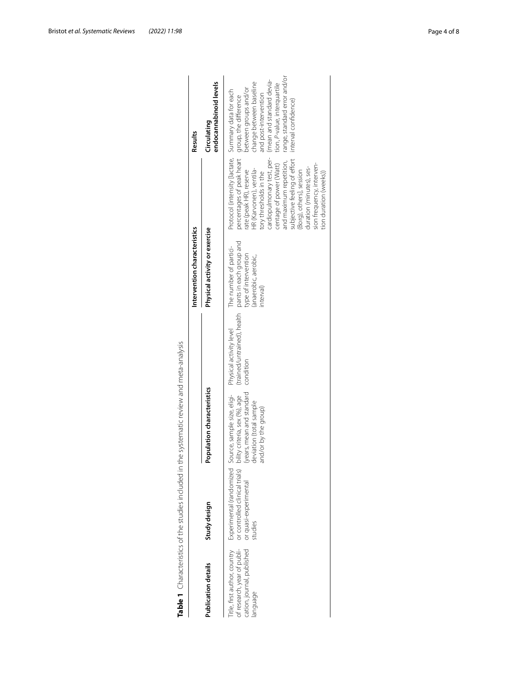|                                                                                                  |                                                                    | Table 1 Characteristics of the studies included in the systematic review and meta-analysis                                                                            |                                                                                             |                                                                                    |                                                                                                                                                                                                                                                                                                                                                                                                     |                                                                                                                                                                                                                         |
|--------------------------------------------------------------------------------------------------|--------------------------------------------------------------------|-----------------------------------------------------------------------------------------------------------------------------------------------------------------------|---------------------------------------------------------------------------------------------|------------------------------------------------------------------------------------|-----------------------------------------------------------------------------------------------------------------------------------------------------------------------------------------------------------------------------------------------------------------------------------------------------------------------------------------------------------------------------------------------------|-------------------------------------------------------------------------------------------------------------------------------------------------------------------------------------------------------------------------|
|                                                                                                  |                                                                    |                                                                                                                                                                       |                                                                                             | Intervention characteristics                                                       |                                                                                                                                                                                                                                                                                                                                                                                                     | Results                                                                                                                                                                                                                 |
| Publication details                                                                              | Study design                                                       | Population characteristics<br>$\overline{\phantom{a}}$                                                                                                                |                                                                                             | Physical activity or exercise                                                      |                                                                                                                                                                                                                                                                                                                                                                                                     | endocannabinoid levels<br>Circulating                                                                                                                                                                                   |
| itle, first author, country<br>fresearch, year of publi-<br>taion, journal, published<br>anguage | or controlled clinical trials)<br>or quasi-experimental<br>studies | (years, mean and standard<br>deviation (total sample<br>Experimental (randomized Source, sample size, eligi-<br>bility criteria, sex (%), age<br>and/or by the group) | (trained/untrained), health pants in each group and<br>Physical activity level<br>condition | The number of partici-<br>type of intervention<br>anaerobic, aerobic,<br>interval) | Protocol (intensity [lactate, Summary data for each<br>percentages of peak heart<br>cardiopulmonary test, per-<br>subjective feeling of effort<br>and maximum repetition,<br>centage of power (Watt)<br>sion frequency, interven-<br>duration (minutes), ses-<br>HR (Karvonen), ventila-<br>rate (peak HR), reserve<br>(Borg), others], session<br>tory thresholds in the<br>tion duration (weeks)) | range, standard error and/or<br>(mean and standard devia-<br>change between baseline<br>tion, P-value, interquartile<br>between groups and/or<br>and post-intervention<br>group, the difference<br>interval confidence) |

<span id="page-3-0"></span>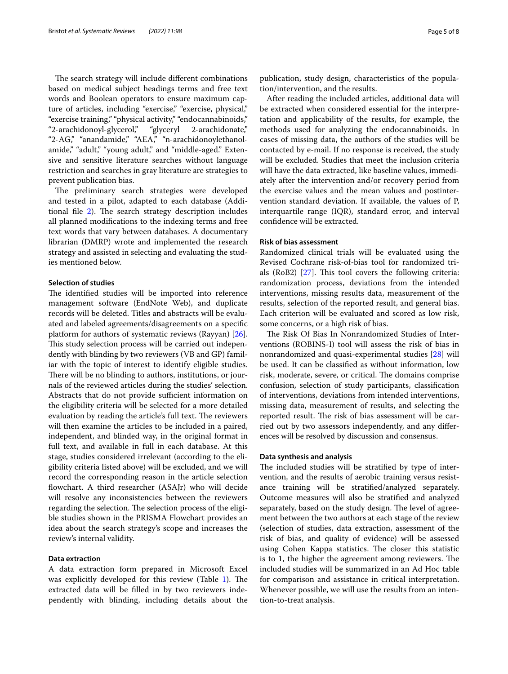The search strategy will include different combinations based on medical subject headings terms and free text words and Boolean operators to ensure maximum capture of articles, including "exercise," "exercise, physical," "exercise training," "physical activity," "endocannabinoids," "2-arachidonoyl-glycerol," "glyceryl 2-arachidonate," "2-AG," "anandamide," "AEA," "n-arachidonoylethanolamide," "adult," "young adult," and "middle-aged." Extensive and sensitive literature searches without language restriction and searches in gray literature are strategies to prevent publication bias.

The preliminary search strategies were developed and tested in a pilot, adapted to each database (Addi-tional file [2](#page-6-21)). The search strategy description includes all planned modifcations to the indexing terms and free text words that vary between databases. A documentary librarian (DMRP) wrote and implemented the research strategy and assisted in selecting and evaluating the studies mentioned below.

# **Selection of studies**

The identified studies will be imported into reference management software (EndNote Web), and duplicate records will be deleted. Titles and abstracts will be evaluated and labeled agreements/disagreements on a specifc platform for authors of systematic reviews (Rayyan) [\[26](#page-7-3)]. This study selection process will be carried out independently with blinding by two reviewers (VB and GP) familiar with the topic of interest to identify eligible studies. There will be no blinding to authors, institutions, or journals of the reviewed articles during the studies' selection. Abstracts that do not provide sufficient information on the eligibility criteria will be selected for a more detailed evaluation by reading the article's full text. The reviewers will then examine the articles to be included in a paired, independent, and blinded way, in the original format in full text, and available in full in each database. At this stage, studies considered irrelevant (according to the eligibility criteria listed above) will be excluded, and we will record the corresponding reason in the article selection fowchart. A third researcher (ASAJr) who will decide will resolve any inconsistencies between the reviewers regarding the selection. The selection process of the eligible studies shown in the PRISMA Flowchart provides an idea about the search strategy's scope and increases the review's internal validity.

#### **Data extraction**

A data extraction form prepared in Microsoft Excel was explicitly developed for this review (Table  $1$ ). The extracted data will be flled in by two reviewers independently with blinding, including details about the publication, study design, characteristics of the population/intervention, and the results.

After reading the included articles, additional data will be extracted when considered essential for the interpretation and applicability of the results, for example, the methods used for analyzing the endocannabinoids. In cases of missing data, the authors of the studies will be contacted by e-mail. If no response is received, the study will be excluded. Studies that meet the inclusion criteria will have the data extracted, like baseline values, immediately after the intervention and/or recovery period from the exercise values and the mean values and postintervention standard deviation. If available, the values of P, interquartile range (IQR), standard error, and interval confdence will be extracted.

#### **Risk of bias assessment**

Randomized clinical trials will be evaluated using the Revised Cochrane risk-of-bias tool for randomized trials (RoB2)  $[27]$  $[27]$  $[27]$ . This tool covers the following criteria: randomization process, deviations from the intended interventions, missing results data, measurement of the results, selection of the reported result, and general bias. Each criterion will be evaluated and scored as low risk, some concerns, or a high risk of bias.

The Risk Of Bias In Nonrandomized Studies of Interventions (ROBINS-I) tool will assess the risk of bias in nonrandomized and quasi-experimental studies [[28\]](#page-7-5) will be used. It can be classifed as without information, low risk, moderate, severe, or critical. The domains comprise confusion, selection of study participants, classifcation of interventions, deviations from intended interventions, missing data, measurement of results, and selecting the reported result. The risk of bias assessment will be carried out by two assessors independently, and any diferences will be resolved by discussion and consensus.

#### **Data synthesis and analysis**

The included studies will be stratified by type of intervention, and the results of aerobic training versus resistance training will be stratifed/analyzed separately. Outcome measures will also be stratifed and analyzed separately, based on the study design. The level of agreement between the two authors at each stage of the review (selection of studies, data extraction, assessment of the risk of bias, and quality of evidence) will be assessed using Cohen Kappa statistics. The closer this statistic is to 1, the higher the agreement among reviewers. The included studies will be summarized in an Ad Hoc table for comparison and assistance in critical interpretation. Whenever possible, we will use the results from an intention-to-treat analysis.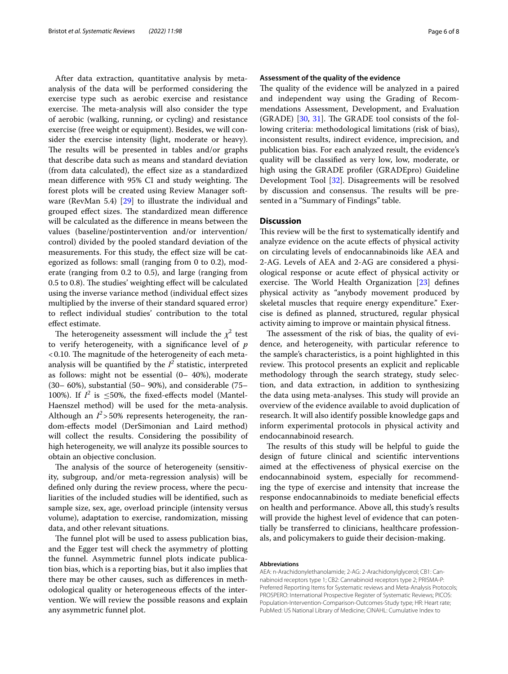After data extraction, quantitative analysis by metaanalysis of the data will be performed considering the exercise type such as aerobic exercise and resistance exercise. The meta-analysis will also consider the type of aerobic (walking, running, or cycling) and resistance exercise (free weight or equipment). Besides, we will consider the exercise intensity (light, moderate or heavy). The results will be presented in tables and/or graphs that describe data such as means and standard deviation (from data calculated), the efect size as a standardized mean difference with 95% CI and study weighting. The forest plots will be created using Review Manager software (RevMan 5.4) [\[29](#page-7-6)] to illustrate the individual and grouped effect sizes. The standardized mean difference will be calculated as the diference in means between the values (baseline/postintervention and/or intervention/ control) divided by the pooled standard deviation of the measurements. For this study, the efect size will be categorized as follows: small (ranging from 0 to 0.2), moderate (ranging from 0.2 to 0.5), and large (ranging from 0.5 to 0.8). The studies' weighting effect will be calculated using the inverse variance method (individual efect sizes multiplied by the inverse of their standard squared error) to refect individual studies' contribution to the total efect estimate.

The heterogeneity assessment will include the  $\chi^2$  test to verify heterogeneity, with a signifcance level of *p* <0.10. The magnitude of the heterogeneity of each metaanalysis will be quantified by the  $I^2$  statistic, interpreted as follows: might not be essential (0– 40%), moderate (30– 60%), substantial (50– 90%), and considerable (75– 100%). If  $I^2$  is  $\leq 50\%$ , the fixed-effects model (Mantel-Haenszel method) will be used for the meta-analysis. Although an  $I^2$ >50% represents heterogeneity, the random-efects model (DerSimonian and Laird method) will collect the results. Considering the possibility of high heterogeneity, we will analyze its possible sources to obtain an objective conclusion.

The analysis of the source of heterogeneity (sensitivity, subgroup, and/or meta-regression analysis) will be defned only during the review process, where the peculiarities of the included studies will be identifed, such as sample size, sex, age, overload principle (intensity versus volume), adaptation to exercise, randomization, missing data, and other relevant situations.

The funnel plot will be used to assess publication bias, and the Egger test will check the asymmetry of plotting the funnel. Asymmetric funnel plots indicate publication bias, which is a reporting bias, but it also implies that there may be other causes, such as diferences in methodological quality or heterogeneous efects of the intervention. We will review the possible reasons and explain any asymmetric funnel plot.

#### **Assessment of the quality of the evidence**

The quality of the evidence will be analyzed in a paired and independent way using the Grading of Recommendations Assessment, Development, and Evaluation  $(GRADE)$  [\[30](#page-7-7), [31\]](#page-7-8). The GRADE tool consists of the following criteria: methodological limitations (risk of bias), inconsistent results, indirect evidence, imprecision, and publication bias. For each analyzed result, the evidence's quality will be classifed as very low, low, moderate, or high using the GRADE profler (GRADEpro) Guideline Development Tool [[32\]](#page-7-9). Disagreements will be resolved by discussion and consensus. The results will be presented in a "Summary of Findings" table.

# **Discussion**

This review will be the first to systematically identify and analyze evidence on the acute efects of physical activity on circulating levels of endocannabinoids like AEA and 2-AG. Levels of AEA and 2-AG are considered a physiological response or acute efect of physical activity or exercise. The World Health Organization  $[23]$  $[23]$  $[23]$  defines physical activity as "anybody movement produced by skeletal muscles that require energy expenditure." Exercise is defned as planned, structured, regular physical activity aiming to improve or maintain physical ftness.

The assessment of the risk of bias, the quality of evidence, and heterogeneity, with particular reference to the sample's characteristics, is a point highlighted in this review. This protocol presents an explicit and replicable methodology through the search strategy, study selection, and data extraction, in addition to synthesizing the data using meta-analyses. This study will provide an overview of the evidence available to avoid duplication of research. It will also identify possible knowledge gaps and inform experimental protocols in physical activity and endocannabinoid research.

The results of this study will be helpful to guide the design of future clinical and scientifc interventions aimed at the efectiveness of physical exercise on the endocannabinoid system, especially for recommending the type of exercise and intensity that increase the response endocannabinoids to mediate benefcial efects on health and performance. Above all, this study's results will provide the highest level of evidence that can potentially be transferred to clinicians, healthcare professionals, and policymakers to guide their decision-making.

#### **Abbreviations**

AEA: n-Arachidonylethanolamide; 2-AG: 2-Arachidonylglycerol; CB1: Cannabinoid receptors type 1; CB2: Cannabinoid receptors type 2; PRISMA-P: Preferred Reporting Items for Systematic reviews and Meta-Analysis Protocols; PROSPERO: International Prospective Register of Systematic Reviews; PICOS: Population-Intervention-Comparison-Outcomes-Study type; HR: Heart rate; PubMed: US National Library of Medicine; CINAHL: Cumulative Index to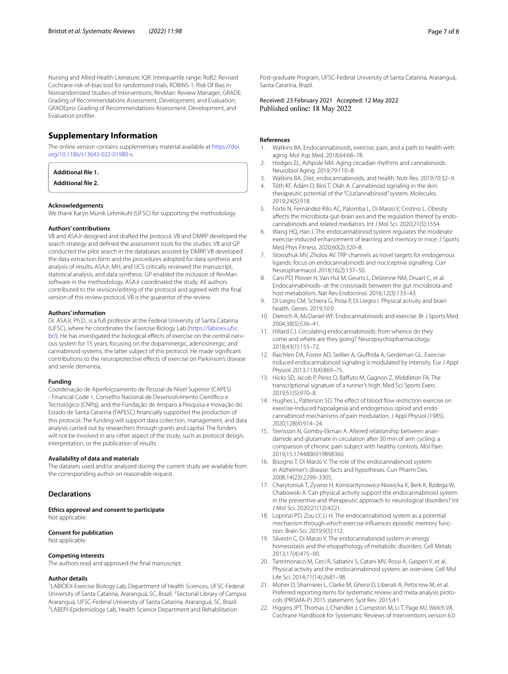Nursing and Allied Health Literature; IQR: Interquartile range; RoB2: Revised Cochrane risk-of-bias tool for randomized trials; ROBINS-1: Risk Of Bias In Nonrandomized Studies of Interventions; RevMan: Review Manager; GRADE: Grading of Recommendations Assessment, Development, and Evaluation; GRADEpro: Grading of Recommendations Assessment, Development, and Evaluation profler.

# **Supplementary Information**

The online version contains supplementary material available at [https://doi.](https://doi.org/10.1186/s13643-022-01980-x) [org/10.1186/s13643-022-01980-x.](https://doi.org/10.1186/s13643-022-01980-x)

# <span id="page-6-21"></span><span id="page-6-20"></span>**Additional fle 1.**

**Additional fle 2.**

#### **Acknowledgements**

We thank Karyn Munik Lehmkuhl (UFSC) for supporting the methodology.

#### **Authors' contributions**

VB and ASAJr designed and drafted the protocol. VB and DMRP developed the search strategy and defned the assessment tools for the studies. VB and GP conducted the pilot search in the databases assisted by DMRP. VB developed the data extraction form and the procedures adopted for data synthesis and analysis of results. ASAJr, MH, and IJCS critically reviewed the manuscript, statistical analysis, and data synthesis. GP enabled the inclusion of RevMan software in the methodology. ASAJr coordinated the study. All authors contributed to the revision/editing of the protocol and agreed with the fnal version of this review protocol. VB is the guarantor of the review.

#### **Authors' information**

Dr. ASAJr, Ph.D., is a full professor at the Federal University of Santa Catarina (UFSC), where he coordinates the Exercise Biology Lab ([https://labioex.ufsc.](https://labioex.ufsc.br/) [br/\)](https://labioex.ufsc.br/). He has investigated the biological effects of exercise on the central nervous system for 15 years, focusing on the dopaminergic, adenosinergic, and cannabinoid systems, the latter subject of this protocol. He made signifcant contributions to the neuroprotective efects of exercise on Parkinson's disease and senile dementia.

#### **Funding**

Coordenação de Aperfeiçoamento de Pessoal de Nível Superior (CAPES) - Financial Code 1, Conselho Nacional de Desenvolvimento Científco e Tecnológico (CNPq), and the Fundação de Amparo à Pesquisa e Inovação do Estado de Santa Catarina (FAPESC) fnancially supported the production of this protocol. The funding will support data collection, management, and data analysis carried out by researchers through grants and capital. The funders will not be involved in any other aspect of the study, such as protocol design, interpretation, or the publication of results.

#### **Availability of data and materials**

The datasets used and/or analyzed during the current study are available from the corresponding author on reasonable request.

#### **Declarations**

**Ethics approval and consent to participate** Not applicable.

#### **Consent for publication**

Not applicable.

#### **Competing interests**

The authors read and approved the fnal manuscript.

#### **Author details**

<sup>1</sup>LABIOEX-Exercise Biology Lab, Department of Health Sciences, UFSC-Federal University of Santa Catarina, Araranguá, SC, Brazil. <sup>2</sup> Sectorial Library of Campus Araranguá, UFSC-Federal University of Santa Catarina, Araranguá, SC, Brazil. 3 <sup>3</sup>LABEPI-Epidemiology Lab, Health Science Department and Rehabilitation

Post-graduate Program, UFSC-Federal University of Santa Catarina, Araranguá, Santa Catarina, Brazil.

Received: 23 February 2021 Accepted: 12 May 2022<br>Published online: 18 May 2022

#### **References**

- <span id="page-6-0"></span>Watkins BA. Endocannabinoids, exercise, pain, and a path to health with aging. Mol Asp Med. 2018;64:68–78.
- <span id="page-6-1"></span>2. Hodges EL, Ashpole NM. Aging circadian rhythms and cannabinoids. Neurobiol Aging. 2019;79:110–8.
- <span id="page-6-2"></span>3. Watkins BA. Diet, endocannabinoids, and health. Nutr Res. 2019;70:32–9.
- <span id="page-6-3"></span>4. Tóth KF, Ádám D, Bíró T, Oláh A. Cannabinoid signaling in the skin: therapeutic potential of the "C(ut)annabinoid" system. Molecules. 2019;24(5):918.
- <span id="page-6-4"></span>5. Forte N, Fernández-Rilo AC, Palomba L, Di Marzo V, Cristino L. Obesity afects the microbiota-gut-brain axis and the regulation thereof by endocannabinoids and related mediators. Int J Mol Sci. 2020;21(5):1554.
- <span id="page-6-5"></span>6. Wang HQ, Han J. The endocannabinoid system regulates the moderate exercise-induced enhancement of learning and memory in mice. J Sports Med Phys Fitness. 2020;60(2):320–8.
- <span id="page-6-6"></span>7. Storozhuk MV, Zholos AV. TRP channels as novel targets for endogenous ligands: focus on endocannabinoids and nociceptive signalling. Curr Neuropharmacol. 2018;16(2):137–50.
- <span id="page-6-7"></span>8. Cani PD, Plovier H, Van Hul M, Geurts L, Delzenne NM, Druart C, et al. Endocannabinoids--at the crossroads between the gut microbiota and host metabolism. Nat Rev Endocrinol. 2016;12(3):133–43.
- <span id="page-6-8"></span>9. Di Liegro CM, Schiera G, Proia P, Di Liegro I. Physical activity and brain health. Genes. 2019;10:9.
- 10. Dietrich A, McDaniel WF. Endocannabinoids and exercise. Br J Sports Med. 2004;38(5):536–41.
- <span id="page-6-11"></span>11. Hillard CJ. Circulating endocannabinoids: from whence do they come and where are they going? Neuropsychopharmacology. 2018;43(1):155–72.
- <span id="page-6-9"></span>12. Raichlen DA, Foster AD, Seillier A, Giufrida A, Gerdeman GL. Exerciseinduced endocannabinoid signaling is modulated by intensity. Eur J Appl Physiol. 2013;113(4):869–75.
- <span id="page-6-10"></span>13. Hicks SD, Jacob P, Perez O, Bafuto M, Gagnon Z, Middleton FA. The transcriptional signature of a runner's high. Med Sci Sports Exerc. 2019;51(5):970–8.
- <span id="page-6-12"></span>14. Hughes L, Patterson SD. The effect of blood flow restriction exercise on exercise-induced hypoalgesia and endogenous opioid and endocannabinoid mechanisms of pain modulation. J Appl Physiol (1985). 2020;128(4):914–24.
- <span id="page-6-13"></span>15. Stensson N, Grimby-Ekman A. Altered relationship between anandamide and glutamate in circulation after 30 min of arm cycling: a comparison of chronic pain subject with healthy controls. Mol Pain. 2019;15:1744806919898360.
- <span id="page-6-14"></span>16. Bisogno T, Di Marzo V. The role of the endocannabinoid system in Alzheimer's disease: facts and hypotheses. Curr Pharm Des. 2008;14(23):2299–3305.
- <span id="page-6-15"></span>17. Charytoniuk T, Zywno H, Konstantynowicz-Nowicka K, Berk K, Bzdega W, Chabowski A. Can physical activity support the endocannabinoid system in the preventive and therapeutic approach to neurological disorders? Int J Mol Sci. 2020;21(12):4221.
- <span id="page-6-16"></span>18. Loprinzi PD, Zou LY, Li H. The endocannabinoid system as a potential mechanism through which exercise infuences episodic memory function. Brain Sci. 2019;9(5):112.
- 19. Silvestri C, Di Marzo V. The endocannabinoid system in energy homeostasis and the etiopathology of metabolic disorders. Cell Metab. 2013;17(4):475–90.
- <span id="page-6-17"></span>20. Tantimonaco M, Ceci R, Sabatini S, Catani MV, Rossi A, Gasperi V, et al. Physical activity and the endocannabinoid system: an overview. Cell Mol Life Sci. 2014;71(14):2681–98.
- <span id="page-6-18"></span>21. Moher D, Shamseer L, Clarke M, Ghersi D, Liberati A, Petticrew M, et al. Preferred reporting items for systematic review and meta-analysis protocols (PRISMA-P) 2015 statement. Syst Rev. 2015;4:1.
- <span id="page-6-19"></span>22. Higgins JPT, Thomas J, Chandler J, Cumpston M, Li T, Page MJ, Welch VA. Cochrane Handbook for Systematic Reviews of Interventions version 6.0